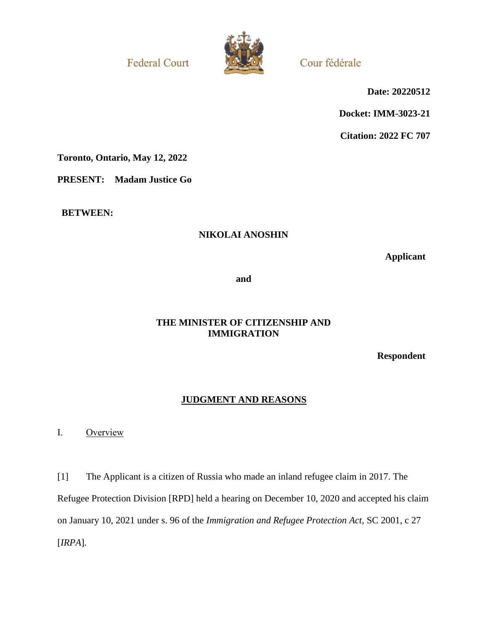**Federal Court** 



Cour fédérale

**Date: 20220512**

**Docket: IMM-3023-21**

**Citation: 2022 FC 707**

**Toronto, Ontario, May 12, 2022**

**PRESENT: Madam Justice Go**

**BETWEEN:**

# **NIKOLAI ANOSHIN**

**Applicant**

**and**

### **THE MINISTER OF CITIZENSHIP AND IMMIGRATION**

**Respondent**

# **JUDGMENT AND REASONS**

I. Overview

[1] The Applicant is a citizen of Russia who made an inland refugee claim in 2017. The Refugee Protection Division [RPD] held a hearing on December 10, 2020 and accepted his claim on January 10, 2021 under s. 96 of the *Immigration and Refugee Protection Act*, SC 2001, c 27 [*IRPA*]*.*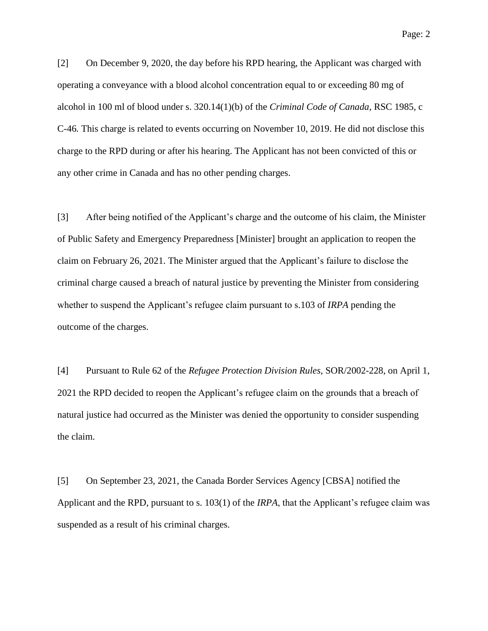[2] On December 9, 2020, the day before his RPD hearing, the Applicant was charged with operating a conveyance with a blood alcohol concentration equal to or exceeding 80 mg of alcohol in 100 ml of blood under s. 320.14(1)(b) of the *Criminal Code of Canada*, RSC 1985, c C-46*.* This charge is related to events occurring on November 10, 2019. He did not disclose this charge to the RPD during or after his hearing. The Applicant has not been convicted of this or any other crime in Canada and has no other pending charges.

[3] After being notified of the Applicant's charge and the outcome of his claim, the Minister of Public Safety and Emergency Preparedness [Minister] brought an application to reopen the claim on February 26, 2021. The Minister argued that the Applicant's failure to disclose the criminal charge caused a breach of natural justice by preventing the Minister from considering whether to suspend the Applicant's refugee claim pursuant to s.103 of *IRPA* pending the outcome of the charges.

[4] Pursuant to Rule 62 of the *Refugee Protection Division Rules*, SOR/2002-228, on April 1, 2021 the RPD decided to reopen the Applicant's refugee claim on the grounds that a breach of natural justice had occurred as the Minister was denied the opportunity to consider suspending the claim.

[5] On September 23, 2021, the Canada Border Services Agency [CBSA] notified the Applicant and the RPD, pursuant to s. 103(1) of the *IRPA*, that the Applicant's refugee claim was suspended as a result of his criminal charges.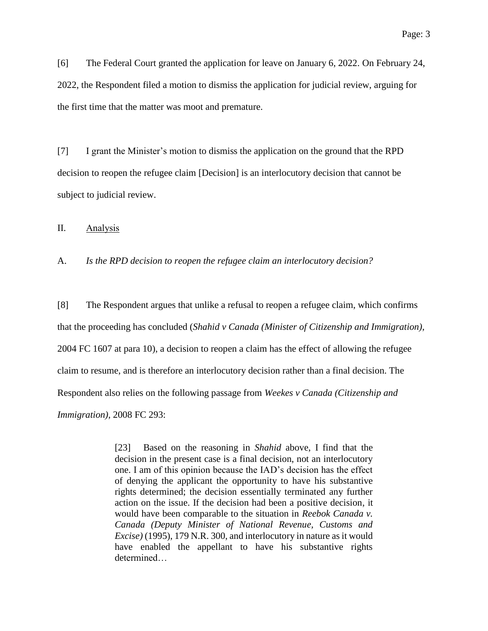[6] The Federal Court granted the application for leave on January 6, 2022. On February 24, 2022, the Respondent filed a motion to dismiss the application for judicial review, arguing for the first time that the matter was moot and premature.

[7] I grant the Minister's motion to dismiss the application on the ground that the RPD decision to reopen the refugee claim [Decision] is an interlocutory decision that cannot be subject to judicial review.

II. Analysis

A. *Is the RPD decision to reopen the refugee claim an interlocutory decision?*

[8] The Respondent argues that unlike a refusal to reopen a refugee claim, which confirms that the proceeding has concluded (*Shahid v Canada (Minister of Citizenship and Immigration)*, 2004 FC 1607 at para 10), a decision to reopen a claim has the effect of allowing the refugee claim to resume, and is therefore an interlocutory decision rather than a final decision. The Respondent also relies on the following passage from *Weekes v Canada (Citizenship and Immigration)*, 2008 FC 293:

> [23] Based on the reasoning in *Shahid* above, I find that the decision in the present case is a final decision, not an interlocutory one. I am of this opinion because the IAD's decision has the effect of denying the applicant the opportunity to have his substantive rights determined; the decision essentially terminated any further action on the issue. If the decision had been a positive decision, it would have been comparable to the situation in *Reebok Canada v. Canada (Deputy Minister of National Revenue, Customs and Excise)* (1995), 179 N.R. 300, and interlocutory in nature as it would have enabled the appellant to have his substantive rights determined…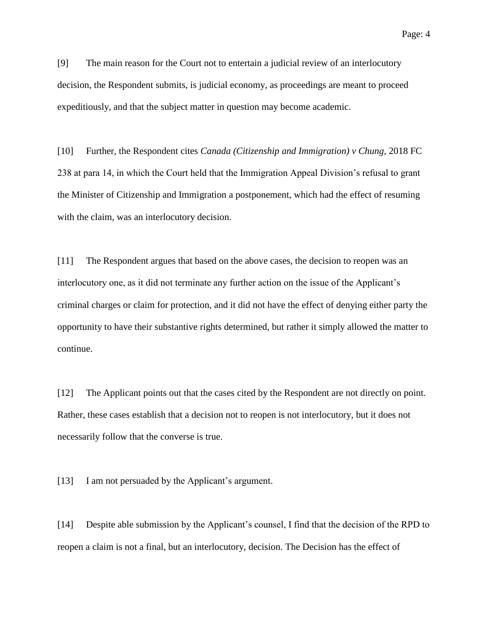[9] The main reason for the Court not to entertain a judicial review of an interlocutory decision, the Respondent submits, is judicial economy, as proceedings are meant to proceed expeditiously, and that the subject matter in question may become academic.

[10] Further, the Respondent cites *Canada (Citizenship and Immigration) v Chung*, 2018 FC 238 at para 14, in which the Court held that the Immigration Appeal Division's refusal to grant the Minister of Citizenship and Immigration a postponement, which had the effect of resuming with the claim, was an interlocutory decision.

[11] The Respondent argues that based on the above cases, the decision to reopen was an interlocutory one, as it did not terminate any further action on the issue of the Applicant's criminal charges or claim for protection, and it did not have the effect of denying either party the opportunity to have their substantive rights determined, but rather it simply allowed the matter to continue.

[12] The Applicant points out that the cases cited by the Respondent are not directly on point. Rather, these cases establish that a decision not to reopen is not interlocutory, but it does not necessarily follow that the converse is true.

[13] I am not persuaded by the Applicant's argument.

[14] Despite able submission by the Applicant's counsel, I find that the decision of the RPD to reopen a claim is not a final, but an interlocutory, decision. The Decision has the effect of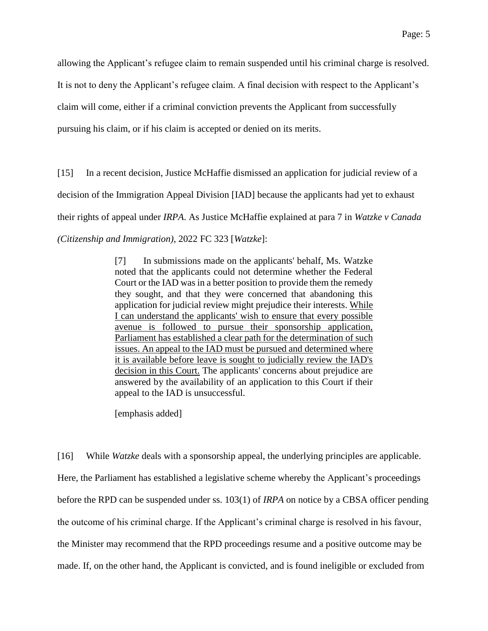allowing the Applicant's refugee claim to remain suspended until his criminal charge is resolved.

It is not to deny the Applicant's refugee claim. A final decision with respect to the Applicant's

claim will come, either if a criminal conviction prevents the Applicant from successfully

pursuing his claim, or if his claim is accepted or denied on its merits.

[15] In a recent decision, Justice McHaffie dismissed an application for judicial review of a decision of the Immigration Appeal Division [IAD] because the applicants had yet to exhaust their rights of appeal under *IRPA*. As Justice McHaffie explained at para 7 in *Watzke v Canada (Citizenship and Immigration)*, 2022 FC 323 [*Watzke*]:

> [7] In submissions made on the applicants' behalf, Ms. Watzke noted that the applicants could not determine whether the Federal Court or the IAD was in a better position to provide them the remedy they sought, and that they were concerned that abandoning this application for judicial review might prejudice their interests. While I can understand the applicants' wish to ensure that every possible avenue is followed to pursue their sponsorship application, Parliament has established a clear path for the determination of such issues. An appeal to the IAD must be pursued and determined where it is available before leave is sought to judicially review the IAD's decision in this Court. The applicants' concerns about prejudice are answered by the availability of an application to this Court if their appeal to the IAD is unsuccessful.

[emphasis added]

[16] While *Watzke* deals with a sponsorship appeal, the underlying principles are applicable. Here, the Parliament has established a legislative scheme whereby the Applicant's proceedings before the RPD can be suspended under ss. 103(1) of *IRPA* on notice by a CBSA officer pending the outcome of his criminal charge. If the Applicant's criminal charge is resolved in his favour, the Minister may recommend that the RPD proceedings resume and a positive outcome may be made. If, on the other hand, the Applicant is convicted, and is found ineligible or excluded from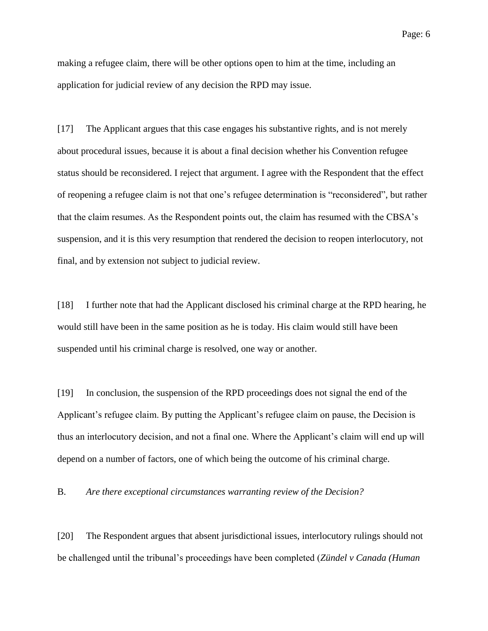making a refugee claim, there will be other options open to him at the time, including an application for judicial review of any decision the RPD may issue.

[17] The Applicant argues that this case engages his substantive rights, and is not merely about procedural issues, because it is about a final decision whether his Convention refugee status should be reconsidered. I reject that argument. I agree with the Respondent that the effect of reopening a refugee claim is not that one's refugee determination is "reconsidered", but rather that the claim resumes. As the Respondent points out, the claim has resumed with the CBSA's suspension, and it is this very resumption that rendered the decision to reopen interlocutory, not final, and by extension not subject to judicial review.

[18] I further note that had the Applicant disclosed his criminal charge at the RPD hearing, he would still have been in the same position as he is today. His claim would still have been suspended until his criminal charge is resolved, one way or another.

[19] In conclusion, the suspension of the RPD proceedings does not signal the end of the Applicant's refugee claim. By putting the Applicant's refugee claim on pause, the Decision is thus an interlocutory decision, and not a final one. Where the Applicant's claim will end up will depend on a number of factors, one of which being the outcome of his criminal charge.

B. *Are there exceptional circumstances warranting review of the Decision?*

[20] The Respondent argues that absent jurisdictional issues, interlocutory rulings should not be challenged until the tribunal's proceedings have been completed (*Zündel v Canada (Human*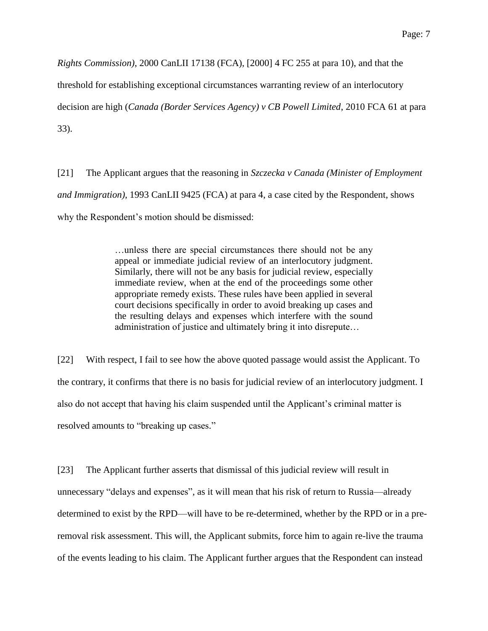*Rights Commission)*, 2000 CanLII 17138 (FCA), [2000] 4 FC 255 at para 10), and that the

threshold for establishing exceptional circumstances warranting review of an interlocutory

decision are high (*Canada (Border Services Agency) v CB Powell Limited*, 2010 FCA 61 at para

33).

[21] The Applicant argues that the reasoning in *Szczecka v Canada (Minister of Employment and Immigration)*, 1993 CanLII 9425 (FCA) at para 4, a case cited by the Respondent, shows why the Respondent's motion should be dismissed:

> …unless there are special circumstances there should not be any appeal or immediate judicial review of an interlocutory judgment. Similarly, there will not be any basis for judicial review, especially immediate review, when at the end of the proceedings some other appropriate remedy exists. These rules have been applied in several court decisions specifically in order to avoid breaking up cases and the resulting delays and expenses which interfere with the sound administration of justice and ultimately bring it into disrepute…

[22] With respect, I fail to see how the above quoted passage would assist the Applicant. To the contrary, it confirms that there is no basis for judicial review of an interlocutory judgment. I also do not accept that having his claim suspended until the Applicant's criminal matter is resolved amounts to "breaking up cases."

[23] The Applicant further asserts that dismissal of this judicial review will result in unnecessary "delays and expenses", as it will mean that his risk of return to Russia—already determined to exist by the RPD—will have to be re-determined, whether by the RPD or in a preremoval risk assessment. This will, the Applicant submits, force him to again re-live the trauma of the events leading to his claim. The Applicant further argues that the Respondent can instead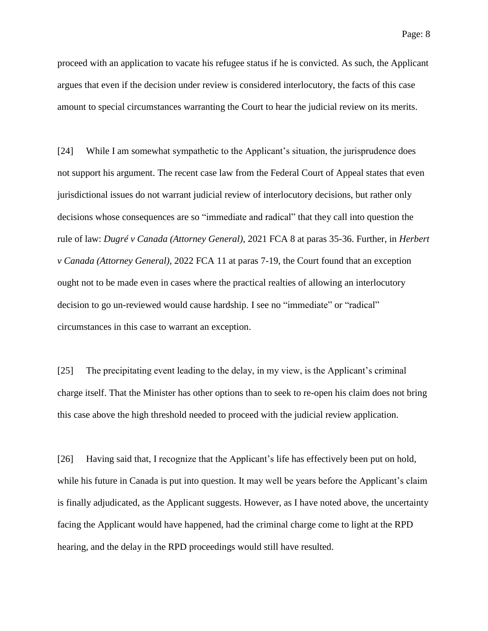proceed with an application to vacate his refugee status if he is convicted. As such, the Applicant argues that even if the decision under review is considered interlocutory, the facts of this case amount to special circumstances warranting the Court to hear the judicial review on its merits.

[24] While I am somewhat sympathetic to the Applicant's situation, the jurisprudence does not support his argument. The recent case law from the Federal Court of Appeal states that even jurisdictional issues do not warrant judicial review of interlocutory decisions, but rather only decisions whose consequences are so "immediate and radical" that they call into question the rule of law: *Dugré v Canada (Attorney General)*, 2021 FCA 8 at paras 35-36. Further, in *Herbert v Canada (Attorney General)*, 2022 FCA 11 at paras 7-19, the Court found that an exception ought not to be made even in cases where the practical realties of allowing an interlocutory decision to go un-reviewed would cause hardship. I see no "immediate" or "radical" circumstances in this case to warrant an exception.

[25] The precipitating event leading to the delay, in my view, is the Applicant's criminal charge itself. That the Minister has other options than to seek to re-open his claim does not bring this case above the high threshold needed to proceed with the judicial review application.

[26] Having said that, I recognize that the Applicant's life has effectively been put on hold, while his future in Canada is put into question. It may well be years before the Applicant's claim is finally adjudicated, as the Applicant suggests. However, as I have noted above, the uncertainty facing the Applicant would have happened, had the criminal charge come to light at the RPD hearing, and the delay in the RPD proceedings would still have resulted.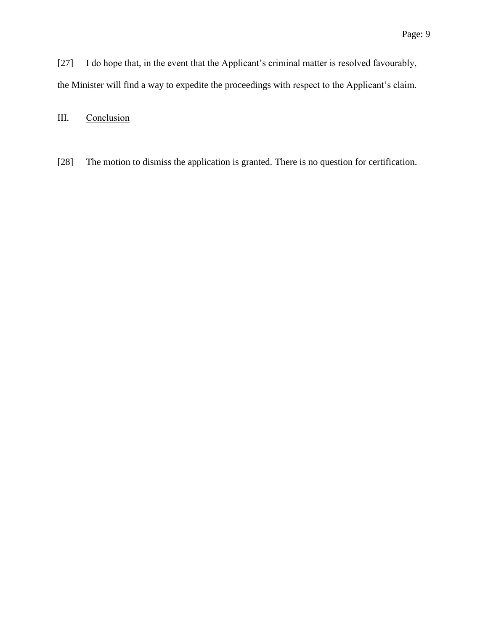[27] I do hope that, in the event that the Applicant's criminal matter is resolved favourably, the Minister will find a way to expedite the proceedings with respect to the Applicant's claim.

III. Conclusion

[28] The motion to dismiss the application is granted. There is no question for certification.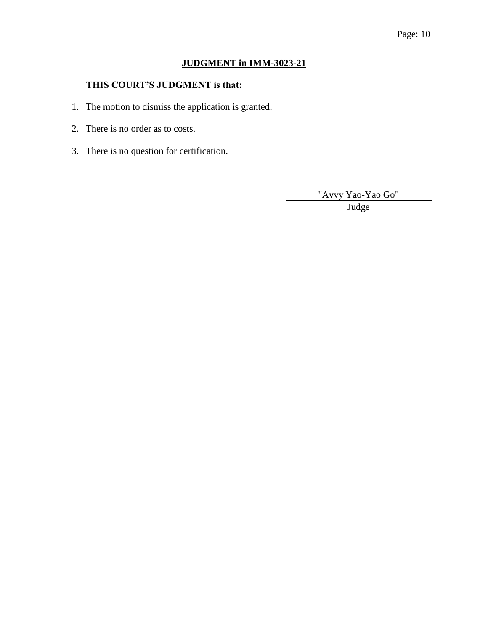### Page: 10

# **JUDGMENT in IMM-3023-21**

### **THIS COURT'S JUDGMENT is that:**

- 1. The motion to dismiss the application is granted.
- 2. There is no order as to costs.
- 3. There is no question for certification.

"Avvy Yao-Yao Go"

Judge